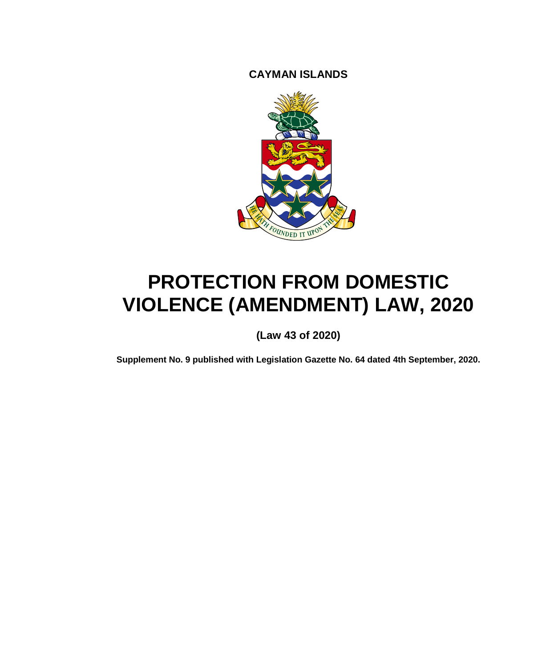**CAYMAN ISLANDS**



# **PROTECTION FROM DOMESTIC VIOLENCE (AMENDMENT) LAW, 2020**

**(Law 43 of 2020)**

**Supplement No. 9 published with Legislation Gazette No. 64 dated 4th September, 2020.**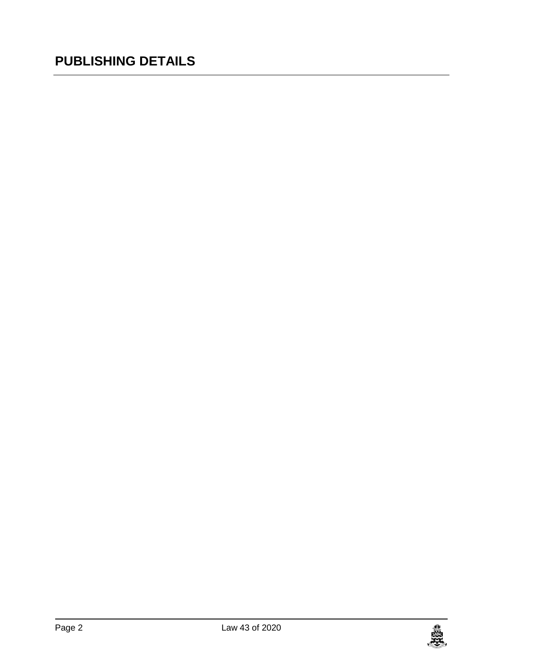### **PUBLISHING DETAILS**

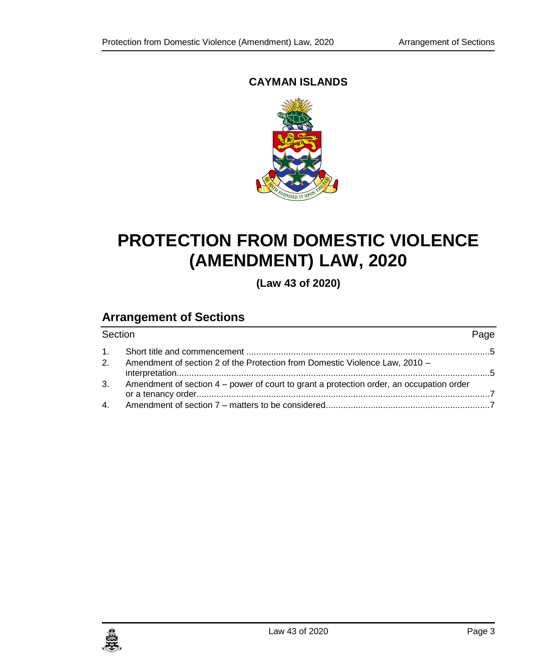#### **CAYMAN ISLANDS**



## **PROTECTION FROM DOMESTIC VIOLENCE (AMENDMENT) LAW, 2020**

**(Law 43 of 2020)**

### **Arrangement of Sections**

| Section |                                                                                             | Page |
|---------|---------------------------------------------------------------------------------------------|------|
|         |                                                                                             |      |
|         | 2. Amendment of section 2 of the Protection from Domestic Violence Law, 2010 -              |      |
|         | 3. Amendment of section 4 – power of court to grant a protection order, an occupation order |      |
|         |                                                                                             |      |

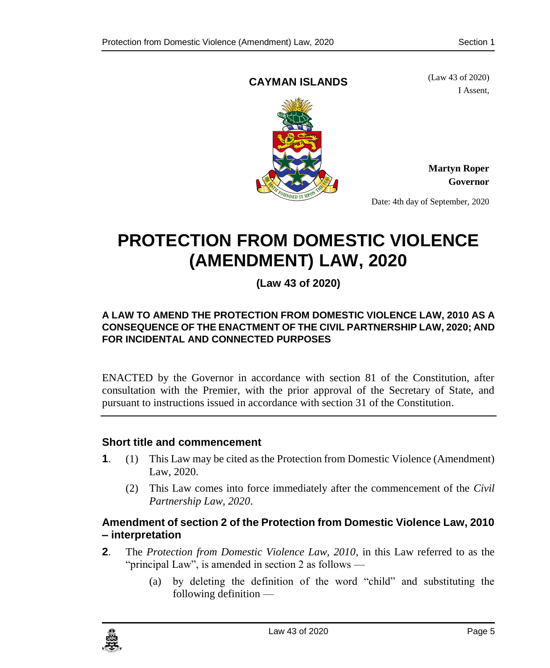#### <span id="page-4-0"></span>**CAYMAN ISLANDS**

(Law 43 of 2020) I Assent,



**Martyn Roper Governor**

Date: 4th day of September, 2020

## **PROTECTION FROM DOMESTIC VIOLENCE (AMENDMENT) LAW, 2020**

**(Law 43 of 2020)**

#### **A LAW TO AMEND THE PROTECTION FROM DOMESTIC VIOLENCE LAW, 2010 AS A CONSEQUENCE OF THE ENACTMENT OF THE CIVIL PARTNERSHIP LAW, 2020; AND FOR INCIDENTAL AND CONNECTED PURPOSES**

ENACTED by the Governor in accordance with section 81 of the Constitution, after consultation with the Premier, with the prior approval of the Secretary of State, and pursuant to instructions issued in accordance with section 31 of the Constitution.

#### **1. Short title and commencement**

- **1**. (1) This Law may be cited as the Protection from Domestic Violence (Amendment) Law, 2020.
	- (2) This Law comes into force immediately after the commencement of the *Civil Partnership Law, 2020*.

#### <span id="page-4-1"></span>**2. Amendment of section 2 of the Protection from Domestic Violence Law, 2010 – interpretation**

- **2**. The *Protection from Domestic Violence Law, 2010*, in this Law referred to as the "principal Law", is amended in section 2 as follows —
	- (a) by deleting the definition of the word "child" and substituting the following definition —

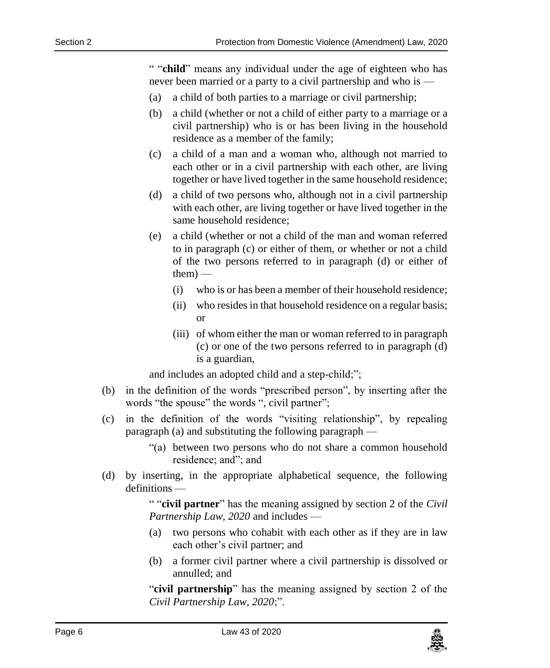" "**child**" means any individual under the age of eighteen who has never been married or a party to a civil partnership and who is —

- (a) a child of both parties to a marriage or civil partnership;
- (b) a child (whether or not a child of either party to a marriage or a civil partnership) who is or has been living in the household residence as a member of the family;
- (c) a child of a man and a woman who, although not married to each other or in a civil partnership with each other, are living together or have lived together in the same household residence;
- (d) a child of two persons who, although not in a civil partnership with each other, are living together or have lived together in the same household residence;
- (e) a child (whether or not a child of the man and woman referred to in paragraph (c) or either of them, or whether or not a child of the two persons referred to in paragraph (d) or either of them) —
	- (i) who is or has been a member of their household residence;
	- (ii) who resides in that household residence on a regular basis; or
	- (iii) of whom either the man or woman referred to in paragraph (c) or one of the two persons referred to in paragraph (d) is a guardian,

and includes an adopted child and a step-child;";

- (b) in the definition of the words "prescribed person", by inserting after the words "the spouse" the words ", civil partner";
- (c) in the definition of the words "visiting relationship", by repealing paragraph (a) and substituting the following paragraph —
	- "(a) between two persons who do not share a common household residence; and"; and
- (d) by inserting, in the appropriate alphabetical sequence, the following definitions —

" "**civil partner**" has the meaning assigned by section 2 of the *Civil Partnership Law, 2020* and includes —

- (a) two persons who cohabit with each other as if they are in law each other's civil partner; and
- (b) a former civil partner where a civil partnership is dissolved or annulled; and

"**civil partnership**" has the meaning assigned by section 2 of the *Civil Partnership Law, 2020*;".